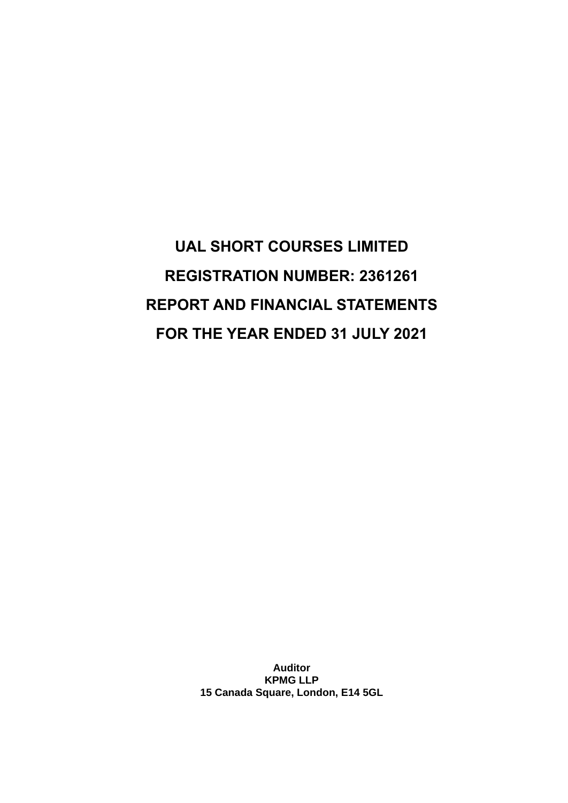**UAL SHORT COURSES LIMITED REGISTRATION NUMBER: 2361261 REPORT AND FINANCIAL STATEMENTS FOR THE YEAR ENDED 31 JULY 2021**

> **Auditor KPMG LLP 15 Canada Square, London, E14 5GL**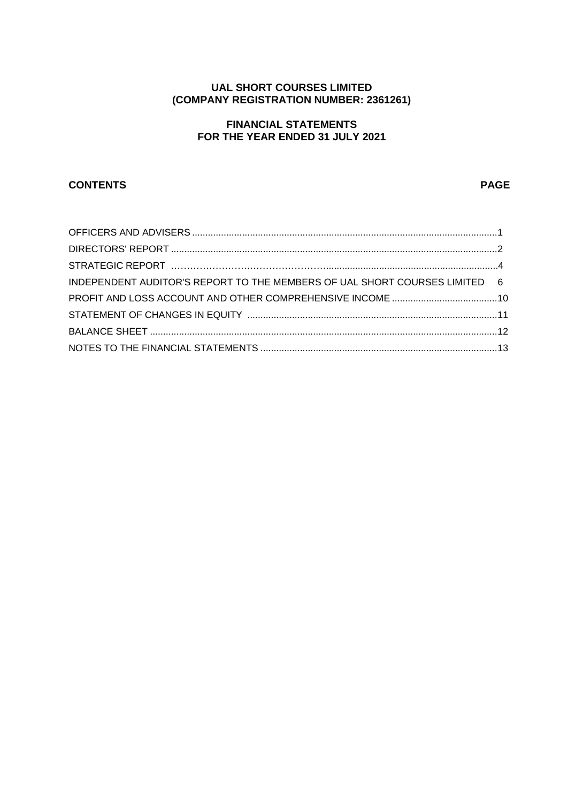### **UAL SHORT COURSES LIMITED (COMPANY REGISTRATION NUMBER: 2361261)**

## **FINANCIAL STATEMENTS FOR THE YEAR ENDED 31 JULY 2021**

# **CONTENTS PAGE**

| INDEPENDENT AUDITOR'S REPORT TO THE MEMBERS OF UAL SHORT COURSES LIMITED 6 |  |
|----------------------------------------------------------------------------|--|
|                                                                            |  |
|                                                                            |  |
|                                                                            |  |
|                                                                            |  |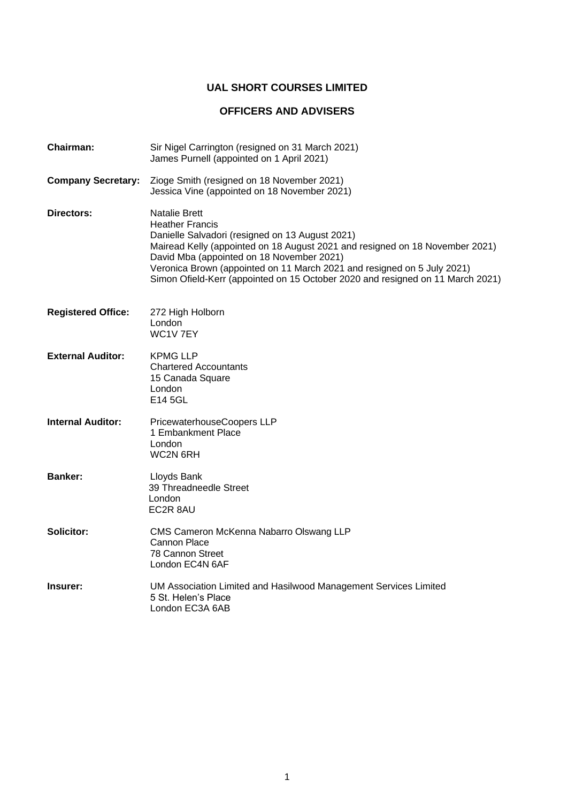# **OFFICERS AND ADVISERS**

| Chairman:                 | Sir Nigel Carrington (resigned on 31 March 2021)<br>James Purnell (appointed on 1 April 2021)                                                                                                                                                                                                                                                                                               |
|---------------------------|---------------------------------------------------------------------------------------------------------------------------------------------------------------------------------------------------------------------------------------------------------------------------------------------------------------------------------------------------------------------------------------------|
| <b>Company Secretary:</b> | Zioge Smith (resigned on 18 November 2021)<br>Jessica Vine (appointed on 18 November 2021)                                                                                                                                                                                                                                                                                                  |
| Directors:                | <b>Natalie Brett</b><br><b>Heather Francis</b><br>Danielle Salvadori (resigned on 13 August 2021)<br>Mairead Kelly (appointed on 18 August 2021 and resigned on 18 November 2021)<br>David Mba (appointed on 18 November 2021)<br>Veronica Brown (appointed on 11 March 2021 and resigned on 5 July 2021)<br>Simon Ofield-Kerr (appointed on 15 October 2020 and resigned on 11 March 2021) |
| <b>Registered Office:</b> | 272 High Holborn<br>London<br>WC1V7EY                                                                                                                                                                                                                                                                                                                                                       |
| <b>External Auditor:</b>  | <b>KPMG LLP</b><br><b>Chartered Accountants</b><br>15 Canada Square<br>London<br>E14 5GL                                                                                                                                                                                                                                                                                                    |
| <b>Internal Auditor:</b>  | PricewaterhouseCoopers LLP<br>1 Embankment Place<br>London<br>WC2N 6RH                                                                                                                                                                                                                                                                                                                      |
| <b>Banker:</b>            | Lloyds Bank<br>39 Threadneedle Street<br>London<br>EC2R 8AU                                                                                                                                                                                                                                                                                                                                 |
| Solicitor:                | CMS Cameron McKenna Nabarro Olswang LLP<br>Cannon Place<br>78 Cannon Street<br>London EC4N 6AF                                                                                                                                                                                                                                                                                              |
| Insurer:                  | UM Association Limited and Hasilwood Management Services Limited<br>5 St. Helen's Place<br>London EC3A 6AB                                                                                                                                                                                                                                                                                  |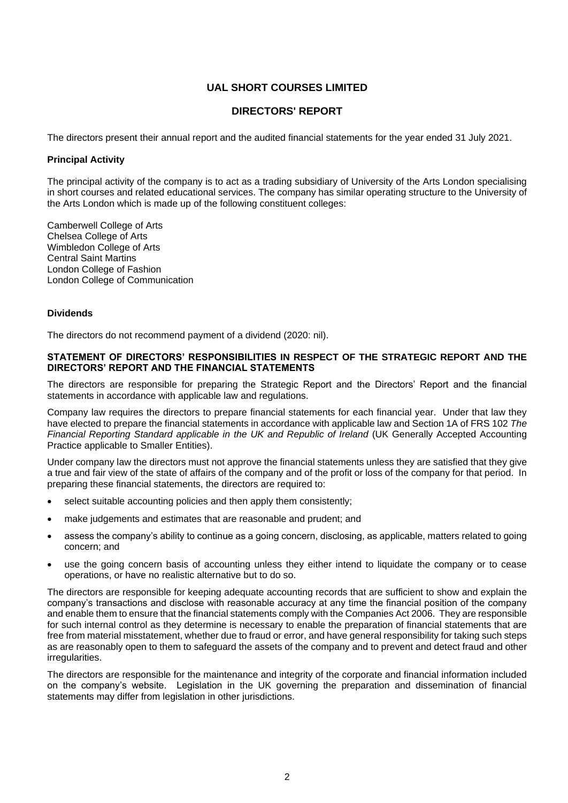### **DIRECTORS' REPORT**

The directors present their annual report and the audited financial statements for the year ended 31 July 2021.

#### **Principal Activity**

The principal activity of the company is to act as a trading subsidiary of University of the Arts London specialising in short courses and related educational services. The company has similar operating structure to the University of the Arts London which is made up of the following constituent colleges:

Camberwell College of Arts Chelsea College of Arts Wimbledon College of Arts Central Saint Martins London College of Fashion London College of Communication

#### **Dividends**

The directors do not recommend payment of a dividend (2020: nil).

#### **STATEMENT OF DIRECTORS' RESPONSIBILITIES IN RESPECT OF THE STRATEGIC REPORT AND THE DIRECTORS' REPORT AND THE FINANCIAL STATEMENTS**

The directors are responsible for preparing the Strategic Report and the Directors' Report and the financial statements in accordance with applicable law and regulations.

Company law requires the directors to prepare financial statements for each financial year. Under that law they have elected to prepare the financial statements in accordance with applicable law and Section 1A of FRS 102 *The Financial Reporting Standard applicable in the UK and Republic of Ireland* (UK Generally Accepted Accounting Practice applicable to Smaller Entities).

Under company law the directors must not approve the financial statements unless they are satisfied that they give a true and fair view of the state of affairs of the company and of the profit or loss of the company for that period. In preparing these financial statements, the directors are required to:

- select suitable accounting policies and then apply them consistently;
- make judgements and estimates that are reasonable and prudent; and
- assess the company's ability to continue as a going concern, disclosing, as applicable, matters related to going concern; and
- use the going concern basis of accounting unless they either intend to liquidate the company or to cease operations, or have no realistic alternative but to do so.

The directors are responsible for keeping adequate accounting records that are sufficient to show and explain the company's transactions and disclose with reasonable accuracy at any time the financial position of the company and enable them to ensure that the financial statements comply with the Companies Act 2006. They are responsible for such internal control as they determine is necessary to enable the preparation of financial statements that are free from material misstatement, whether due to fraud or error, and have general responsibility for taking such steps as are reasonably open to them to safeguard the assets of the company and to prevent and detect fraud and other irregularities.

The directors are responsible for the maintenance and integrity of the corporate and financial information included on the company's website. Legislation in the UK governing the preparation and dissemination of financial statements may differ from legislation in other jurisdictions.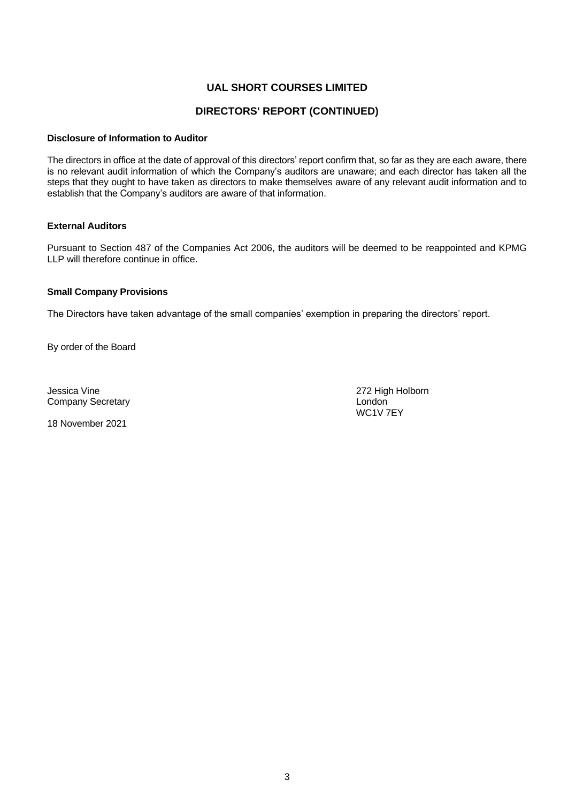### **DIRECTORS' REPORT (CONTINUED)**

#### **Disclosure of Information to Auditor**

The directors in office at the date of approval of this directors' report confirm that, so far as they are each aware, there is no relevant audit information of which the Company's auditors are unaware; and each director has taken all the steps that they ought to have taken as directors to make themselves aware of any relevant audit information and to establish that the Company's auditors are aware of that information.

### **External Auditors**

Pursuant to Section 487 of the Companies Act 2006, the auditors will be deemed to be reappointed and KPMG LLP will therefore continue in office.

#### **Small Company Provisions**

The Directors have taken advantage of the small companies' exemption in preparing the directors' report.

By order of the Board

Jessica Vine 272 High Holborn Company Secretary **London** 

18 November 2021

WC1V 7EY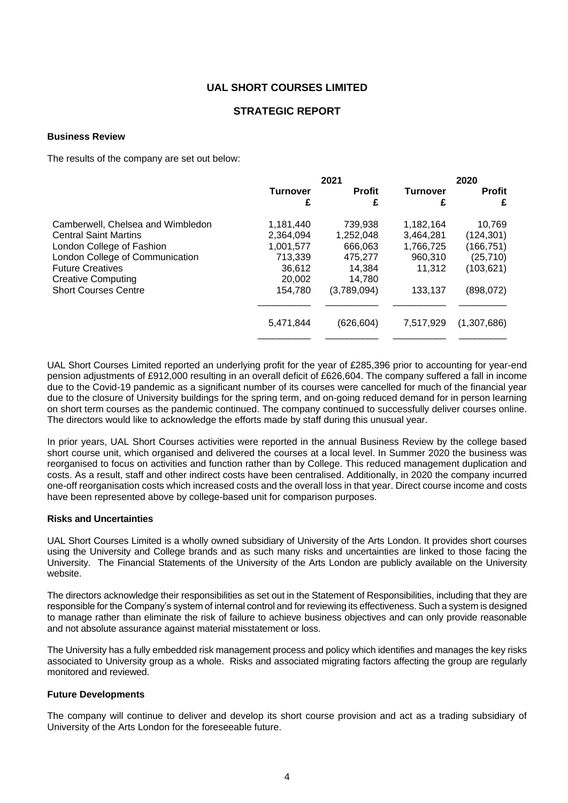### **STRATEGIC REPORT**

#### **Business Review**

The results of the company are set out below:

|                                   | 2021      |               | 2020            |               |
|-----------------------------------|-----------|---------------|-----------------|---------------|
|                                   | Turnover  | <b>Profit</b> | <b>Turnover</b> | <b>Profit</b> |
|                                   | £         | £             | £               | £             |
| Camberwell, Chelsea and Wimbledon | 1,181,440 | 739.938       | 1,182,164       | 10,769        |
| <b>Central Saint Martins</b>      | 2,364,094 | 1,252,048     | 3,464,281       | (124, 301)    |
| London College of Fashion         | 1,001,577 | 666,063       | 1,766,725       | (166, 751)    |
| London College of Communication   | 713,339   | 475,277       | 960,310         | (25, 710)     |
| <b>Future Creatives</b>           | 36,612    | 14.384        | 11.312          | (103, 621)    |
| <b>Creative Computing</b>         | 20.002    | 14.780        |                 |               |
| <b>Short Courses Centre</b>       | 154.780   | (3,789,094)   | 133,137         | (898, 072)    |
|                                   | 5,471,844 | (626, 604)    | 7,517,929       | (1,307,686)   |
|                                   |           |               |                 |               |

UAL Short Courses Limited reported an underlying profit for the year of £285,396 prior to accounting for year-end pension adjustments of £912,000 resulting in an overall deficit of £626,604. The company suffered a fall in income due to the Covid-19 pandemic as a significant number of its courses were cancelled for much of the financial year due to the closure of University buildings for the spring term, and on-going reduced demand for in person learning on short term courses as the pandemic continued. The company continued to successfully deliver courses online. The directors would like to acknowledge the efforts made by staff during this unusual year.

In prior years, UAL Short Courses activities were reported in the annual Business Review by the college based short course unit, which organised and delivered the courses at a local level. In Summer 2020 the business was reorganised to focus on activities and function rather than by College. This reduced management duplication and costs. As a result, staff and other indirect costs have been centralised. Additionally, in 2020 the company incurred one-off reorganisation costs which increased costs and the overall loss in that year. Direct course income and costs have been represented above by college-based unit for comparison purposes.

#### **Risks and Uncertainties**

UAL Short Courses Limited is a wholly owned subsidiary of University of the Arts London. It provides short courses using the University and College brands and as such many risks and uncertainties are linked to those facing the University. The Financial Statements of the University of the Arts London are publicly available on the University website.

The directors acknowledge their responsibilities as set out in the Statement of Responsibilities, including that they are responsible for the Company's system of internal control and for reviewing its effectiveness. Such a system is designed to manage rather than eliminate the risk of failure to achieve business objectives and can only provide reasonable and not absolute assurance against material misstatement or loss.

The University has a fully embedded risk management process and policy which identifies and manages the key risks associated to University group as a whole. Risks and associated migrating factors affecting the group are regularly monitored and reviewed.

#### **Future Developments**

The company will continue to deliver and develop its short course provision and act as a trading subsidiary of University of the Arts London for the foreseeable future.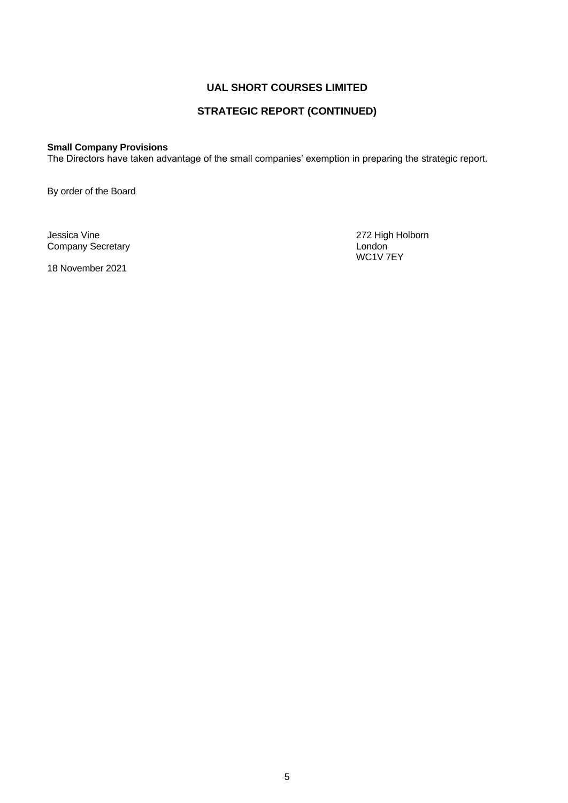# **STRATEGIC REPORT (CONTINUED)**

### **Small Company Provisions**

The Directors have taken advantage of the small companies' exemption in preparing the strategic report.

By order of the Board

Jessica Vine 272 High Holborn 2009 (272 High Holborn 2009) 2014<br>Company Secretary 2009 2012 2014 Company Secretary

WC<sub>1</sub>V<sub>7EY</sub>

18 November 2021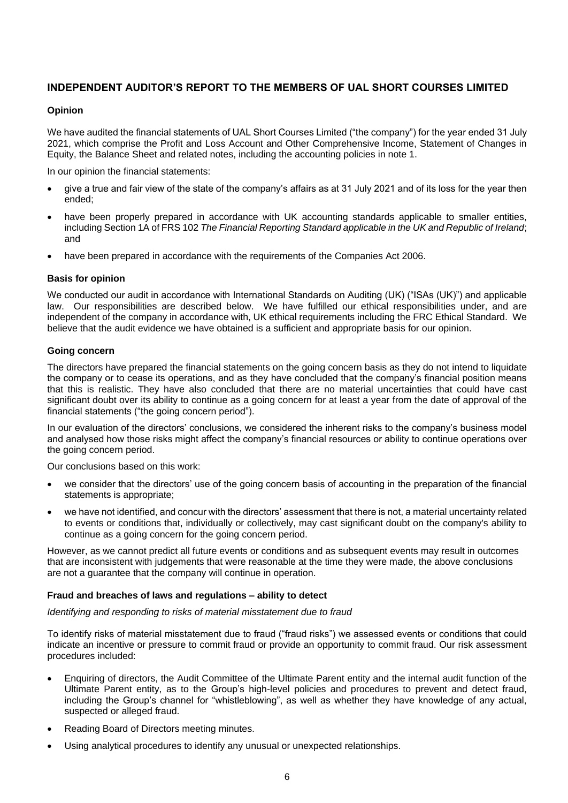### **INDEPENDENT AUDITOR'S REPORT TO THE MEMBERS OF UAL SHORT COURSES LIMITED**

#### **Opinion**

We have audited the financial statements of UAL Short Courses Limited ("the company") for the year ended 31 July 2021, which comprise the Profit and Loss Account and Other Comprehensive Income, Statement of Changes in Equity, the Balance Sheet and related notes, including the accounting policies in note 1.

In our opinion the financial statements:

- give a true and fair view of the state of the company's affairs as at 31 July 2021 and of its loss for the year then ended;
- have been properly prepared in accordance with UK accounting standards applicable to smaller entities, including Section 1A of FRS 102 *The Financial Reporting Standard applicable in the UK and Republic of Ireland*; and
- have been prepared in accordance with the requirements of the Companies Act 2006.

#### **Basis for opinion**

We conducted our audit in accordance with International Standards on Auditing (UK) ("ISAs (UK)") and applicable law. Our responsibilities are described below. We have fulfilled our ethical responsibilities under, and are independent of the company in accordance with, UK ethical requirements including the FRC Ethical Standard. We believe that the audit evidence we have obtained is a sufficient and appropriate basis for our opinion.

#### **Going concern**

The directors have prepared the financial statements on the going concern basis as they do not intend to liquidate the company or to cease its operations, and as they have concluded that the company's financial position means that this is realistic. They have also concluded that there are no material uncertainties that could have cast significant doubt over its ability to continue as a going concern for at least a year from the date of approval of the financial statements ("the going concern period").

In our evaluation of the directors' conclusions, we considered the inherent risks to the company's business model and analysed how those risks might affect the company's financial resources or ability to continue operations over the going concern period.

Our conclusions based on this work:

- we consider that the directors' use of the going concern basis of accounting in the preparation of the financial statements is appropriate;
- we have not identified, and concur with the directors' assessment that there is not, a material uncertainty related to events or conditions that, individually or collectively, may cast significant doubt on the company's ability to continue as a going concern for the going concern period.

However, as we cannot predict all future events or conditions and as subsequent events may result in outcomes that are inconsistent with judgements that were reasonable at the time they were made, the above conclusions are not a guarantee that the company will continue in operation.

#### **Fraud and breaches of laws and regulations – ability to detect**

*Identifying and responding to risks of material misstatement due to fraud*

To identify risks of material misstatement due to fraud ("fraud risks") we assessed events or conditions that could indicate an incentive or pressure to commit fraud or provide an opportunity to commit fraud. Our risk assessment procedures included:

- Enquiring of directors, the Audit Committee of the Ultimate Parent entity and the internal audit function of the Ultimate Parent entity, as to the Group's high-level policies and procedures to prevent and detect fraud, including the Group's channel for "whistleblowing", as well as whether they have knowledge of any actual, suspected or alleged fraud.
- Reading Board of Directors meeting minutes.
- Using analytical procedures to identify any unusual or unexpected relationships.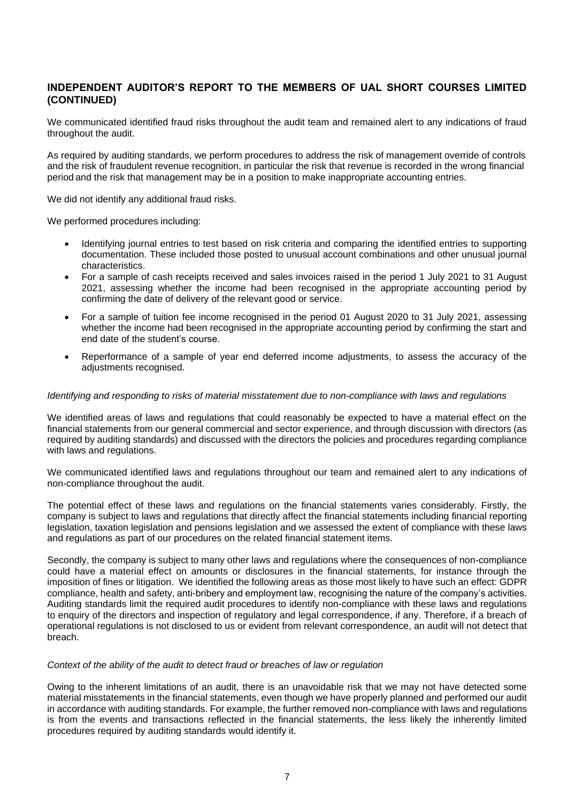### **INDEPENDENT AUDITOR'S REPORT TO THE MEMBERS OF UAL SHORT COURSES LIMITED (CONTINUED)**

We communicated identified fraud risks throughout the audit team and remained alert to any indications of fraud throughout the audit.

As required by auditing standards, we perform procedures to address the risk of management override of controls and the risk of fraudulent revenue recognition, in particular the risk that revenue is recorded in the wrong financial period and the risk that management may be in a position to make inappropriate accounting entries.

We did not identify any additional fraud risks.

We performed procedures including:

- Identifying journal entries to test based on risk criteria and comparing the identified entries to supporting documentation. These included those posted to unusual account combinations and other unusual journal characteristics.
- For a sample of cash receipts received and sales invoices raised in the period 1 July 2021 to 31 August 2021, assessing whether the income had been recognised in the appropriate accounting period by confirming the date of delivery of the relevant good or service.
- For a sample of tuition fee income recognised in the period 01 August 2020 to 31 July 2021, assessing whether the income had been recognised in the appropriate accounting period by confirming the start and end date of the student's course.
- Reperformance of a sample of year end deferred income adjustments, to assess the accuracy of the adjustments recognised.

#### *Identifying and responding to risks of material misstatement due to non-compliance with laws and regulations*

We identified areas of laws and regulations that could reasonably be expected to have a material effect on the financial statements from our general commercial and sector experience, and through discussion with directors (as required by auditing standards) and discussed with the directors the policies and procedures regarding compliance with laws and regulations.

We communicated identified laws and regulations throughout our team and remained alert to any indications of non-compliance throughout the audit.

The potential effect of these laws and regulations on the financial statements varies considerably. Firstly, the company is subject to laws and regulations that directly affect the financial statements including financial reporting legislation, taxation legislation and pensions legislation and we assessed the extent of compliance with these laws and regulations as part of our procedures on the related financial statement items.

Secondly, the company is subject to many other laws and regulations where the consequences of non-compliance could have a material effect on amounts or disclosures in the financial statements, for instance through the imposition of fines or litigation. We identified the following areas as those most likely to have such an effect: GDPR compliance, health and safety, anti-bribery and employment law, recognising the nature of the company's activities. Auditing standards limit the required audit procedures to identify non-compliance with these laws and regulations to enquiry of the directors and inspection of regulatory and legal correspondence, if any. Therefore, if a breach of operational regulations is not disclosed to us or evident from relevant correspondence, an audit will not detect that breach.

#### *Context of the ability of the audit to detect fraud or breaches of law or regulation*

Owing to the inherent limitations of an audit, there is an unavoidable risk that we may not have detected some material misstatements in the financial statements, even though we have properly planned and performed our audit in accordance with auditing standards. For example, the further removed non-compliance with laws and regulations is from the events and transactions reflected in the financial statements, the less likely the inherently limited procedures required by auditing standards would identify it.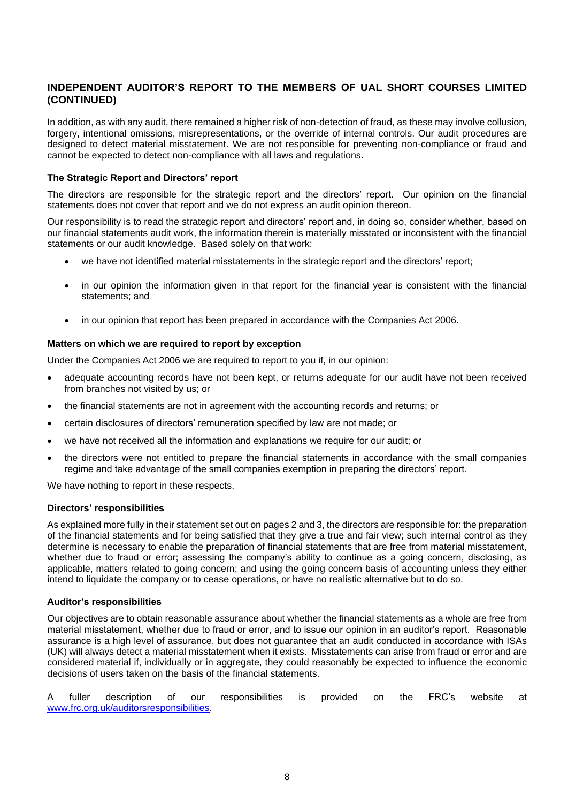### **INDEPENDENT AUDITOR'S REPORT TO THE MEMBERS OF UAL SHORT COURSES LIMITED (CONTINUED)**

In addition, as with any audit, there remained a higher risk of non-detection of fraud, as these may involve collusion, forgery, intentional omissions, misrepresentations, or the override of internal controls. Our audit procedures are designed to detect material misstatement. We are not responsible for preventing non-compliance or fraud and cannot be expected to detect non-compliance with all laws and regulations.

#### **The Strategic Report and Directors' report**

The directors are responsible for the strategic report and the directors' report. Our opinion on the financial statements does not cover that report and we do not express an audit opinion thereon.

Our responsibility is to read the strategic report and directors' report and, in doing so, consider whether, based on our financial statements audit work, the information therein is materially misstated or inconsistent with the financial statements or our audit knowledge. Based solely on that work:

- we have not identified material misstatements in the strategic report and the directors' report;
- in our opinion the information given in that report for the financial year is consistent with the financial statements; and
- in our opinion that report has been prepared in accordance with the Companies Act 2006.

#### **Matters on which we are required to report by exception**

Under the Companies Act 2006 we are required to report to you if, in our opinion:

- adequate accounting records have not been kept, or returns adequate for our audit have not been received from branches not visited by us; or
- the financial statements are not in agreement with the accounting records and returns; or
- certain disclosures of directors' remuneration specified by law are not made; or
- we have not received all the information and explanations we require for our audit; or
- the directors were not entitled to prepare the financial statements in accordance with the small companies regime and take advantage of the small companies exemption in preparing the directors' report.

We have nothing to report in these respects.

#### **Directors' responsibilities**

As explained more fully in their statement set out on pages 2 and 3, the directors are responsible for: the preparation of the financial statements and for being satisfied that they give a true and fair view; such internal control as they determine is necessary to enable the preparation of financial statements that are free from material misstatement, whether due to fraud or error; assessing the company's ability to continue as a going concern, disclosing, as applicable, matters related to going concern; and using the going concern basis of accounting unless they either intend to liquidate the company or to cease operations, or have no realistic alternative but to do so.

#### **Auditor's responsibilities**

Our objectives are to obtain reasonable assurance about whether the financial statements as a whole are free from material misstatement, whether due to fraud or error, and to issue our opinion in an auditor's report. Reasonable assurance is a high level of assurance, but does not guarantee that an audit conducted in accordance with ISAs (UK) will always detect a material misstatement when it exists. Misstatements can arise from fraud or error and are considered material if, individually or in aggregate, they could reasonably be expected to influence the economic decisions of users taken on the basis of the financial statements.

A fuller description of our responsibilities is provided on the FRC's website at [www.frc.org.uk/auditorsresponsibilities.](http://www.frc.org.uk/auditorsresponsibilities)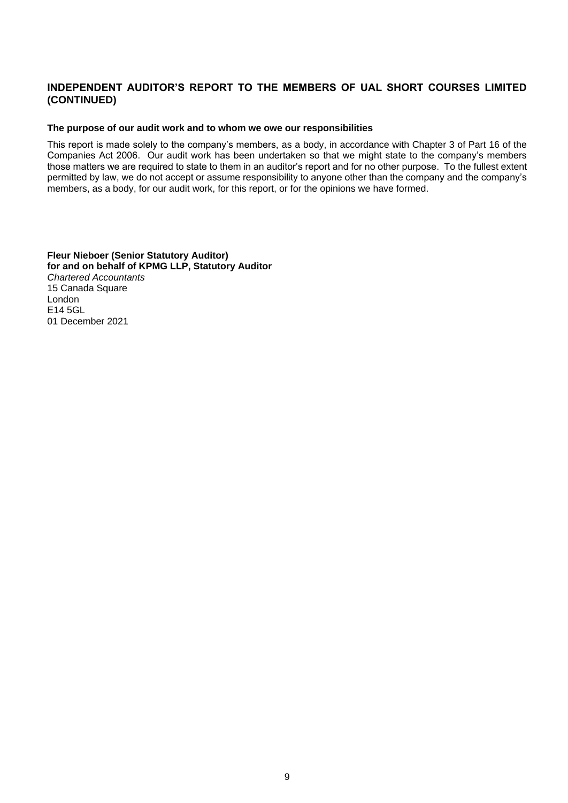### **INDEPENDENT AUDITOR'S REPORT TO THE MEMBERS OF UAL SHORT COURSES LIMITED (CONTINUED)**

#### **The purpose of our audit work and to whom we owe our responsibilities**

This report is made solely to the company's members, as a body, in accordance with Chapter 3 of Part 16 of the Companies Act 2006. Our audit work has been undertaken so that we might state to the company's members those matters we are required to state to them in an auditor's report and for no other purpose. To the fullest extent permitted by law, we do not accept or assume responsibility to anyone other than the company and the company's members, as a body, for our audit work, for this report, or for the opinions we have formed.

**Fleur Nieboer (Senior Statutory Auditor) for and on behalf of KPMG LLP, Statutory Auditor**  *Chartered Accountants*  15 Canada Square London E14 5GL 01 December 2021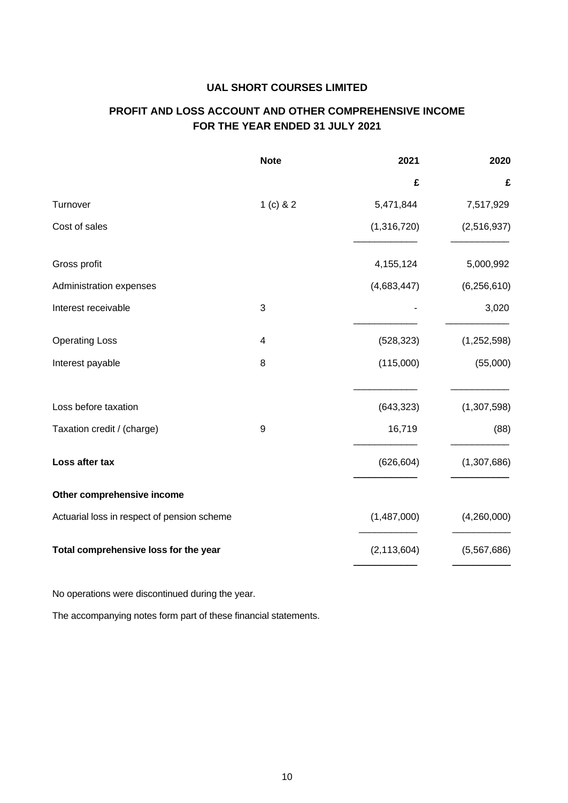# **PROFIT AND LOSS ACCOUNT AND OTHER COMPREHENSIVE INCOME FOR THE YEAR ENDED 31 JULY 2021**

|                                             | <b>Note</b>             | 2021          | 2020          |
|---------------------------------------------|-------------------------|---------------|---------------|
|                                             |                         | £             | £             |
| Turnover                                    | 1 $(c)$ & 2             | 5,471,844     | 7,517,929     |
| Cost of sales                               |                         | (1,316,720)   | (2,516,937)   |
| Gross profit                                |                         | 4, 155, 124   | 5,000,992     |
| Administration expenses                     |                         | (4,683,447)   | (6, 256, 610) |
| Interest receivable                         | 3                       |               | 3,020         |
| <b>Operating Loss</b>                       | $\overline{\mathbf{4}}$ | (528, 323)    | (1,252,598)   |
| Interest payable                            | 8                       | (115,000)     | (55,000)      |
| Loss before taxation                        |                         | (643, 323)    | (1,307,598)   |
| Taxation credit / (charge)                  | 9                       | 16,719        | (88)          |
| Loss after tax                              |                         | (626, 604)    | (1,307,686)   |
| Other comprehensive income                  |                         |               |               |
| Actuarial loss in respect of pension scheme |                         | (1,487,000)   | (4,260,000)   |
| Total comprehensive loss for the year       |                         | (2, 113, 604) | (5,567,686)   |

No operations were discontinued during the year.

The accompanying notes form part of these financial statements.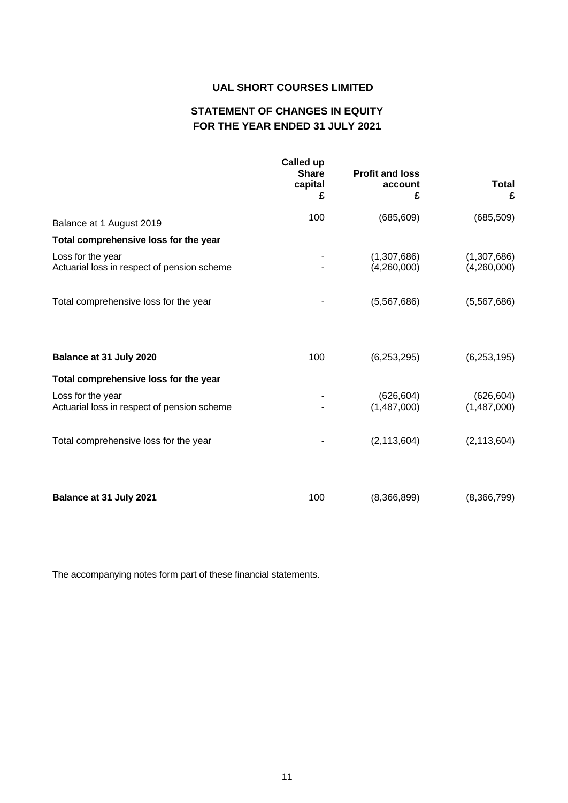# **STATEMENT OF CHANGES IN EQUITY FOR THE YEAR ENDED 31 JULY 2021**

|                                                                  | <b>Called up</b><br><b>Share</b><br>capital<br>£ | <b>Profit and loss</b><br>account<br>£ | <b>Total</b><br>£          |
|------------------------------------------------------------------|--------------------------------------------------|----------------------------------------|----------------------------|
| Balance at 1 August 2019                                         | 100                                              | (685, 609)                             | (685, 509)                 |
| Total comprehensive loss for the year                            |                                                  |                                        |                            |
| Loss for the year<br>Actuarial loss in respect of pension scheme |                                                  | (1,307,686)<br>(4,260,000)             | (1,307,686)<br>(4,260,000) |
| Total comprehensive loss for the year                            |                                                  | (5,567,686)                            | (5,567,686)                |
| Balance at 31 July 2020                                          | 100                                              | (6, 253, 295)                          | (6, 253, 195)              |
| Total comprehensive loss for the year                            |                                                  |                                        |                            |
| Loss for the year<br>Actuarial loss in respect of pension scheme |                                                  | (626, 604)<br>(1,487,000)              | (626, 604)<br>(1,487,000)  |
| Total comprehensive loss for the year                            |                                                  | (2, 113, 604)                          | (2, 113, 604)              |
| Balance at 31 July 2021                                          | 100                                              | (8,366,899)                            | (8,366,799)                |

The accompanying notes form part of these financial statements.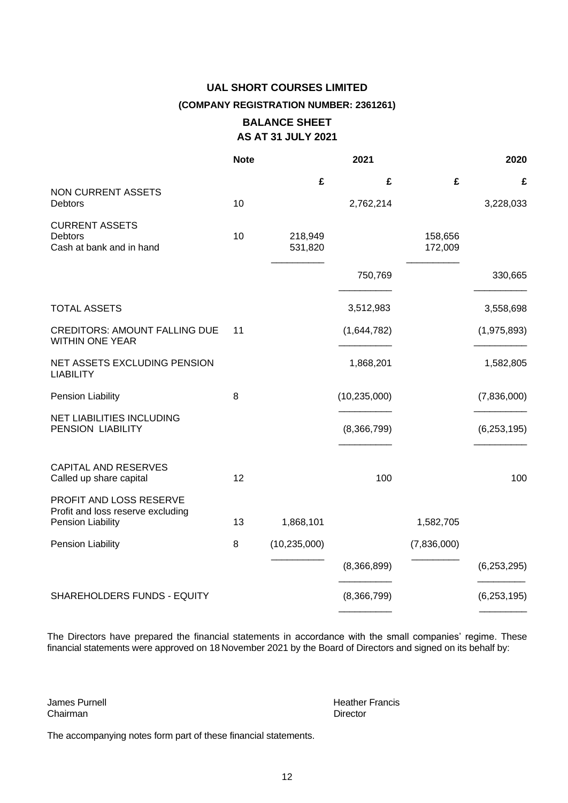# **UAL SHORT COURSES LIMITED (COMPANY REGISTRATION NUMBER: 2361261)**

# **BALANCE SHEET AS AT 31 JULY 2021**

|                                                                                   | <b>Note</b> |                    | 2021           |                    | 2020          |
|-----------------------------------------------------------------------------------|-------------|--------------------|----------------|--------------------|---------------|
|                                                                                   |             | £                  | £              | £                  | £             |
| <b>NON CURRENT ASSETS</b><br>Debtors                                              | 10          |                    | 2,762,214      |                    | 3,228,033     |
| <b>CURRENT ASSETS</b><br><b>Debtors</b><br>Cash at bank and in hand               | 10          | 218,949<br>531,820 |                | 158,656<br>172,009 |               |
|                                                                                   |             |                    | 750,769        |                    | 330,665       |
| <b>TOTAL ASSETS</b>                                                               |             |                    | 3,512,983      |                    | 3,558,698     |
| <b>CREDITORS: AMOUNT FALLING DUE</b><br><b>WITHIN ONE YEAR</b>                    | 11          |                    | (1,644,782)    |                    | (1,975,893)   |
| NET ASSETS EXCLUDING PENSION<br><b>LIABILITY</b>                                  |             |                    | 1,868,201      |                    | 1,582,805     |
| Pension Liability                                                                 | 8           |                    | (10, 235, 000) |                    | (7,836,000)   |
| <b>NET LIABILITIES INCLUDING</b><br>PENSION LIABILITY                             |             |                    | (8,366,799)    |                    | (6, 253, 195) |
| <b>CAPITAL AND RESERVES</b><br>Called up share capital                            | 12          |                    | 100            |                    | 100           |
| PROFIT AND LOSS RESERVE<br>Profit and loss reserve excluding<br>Pension Liability | 13          | 1,868,101          |                | 1,582,705          |               |
| Pension Liability                                                                 | 8           | (10, 235, 000)     |                | (7,836,000)        |               |
|                                                                                   |             |                    | (8,366,899)    |                    | (6, 253, 295) |
| SHAREHOLDERS FUNDS - EQUITY                                                       |             |                    | (8,366,799)    |                    | (6, 253, 195) |

The Directors have prepared the financial statements in accordance with the small companies' regime. These financial statements were approved on 18 November 2021 by the Board of Directors and signed on its behalf by:

Chairman Director

James Purnell **Accord Figure 10 Accord Francis** Heather Francis

The accompanying notes form part of these financial statements.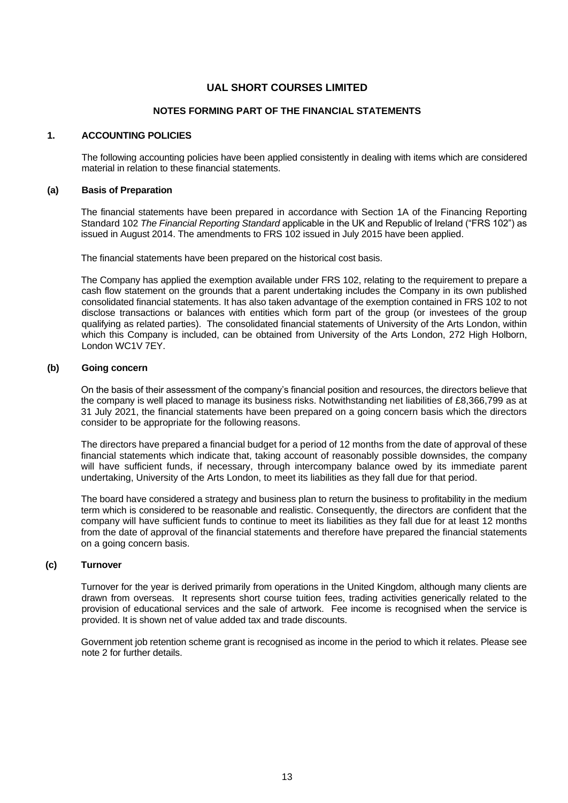#### **NOTES FORMING PART OF THE FINANCIAL STATEMENTS**

### **1. ACCOUNTING POLICIES**

The following accounting policies have been applied consistently in dealing with items which are considered material in relation to these financial statements.

#### **(a) Basis of Preparation**

The financial statements have been prepared in accordance with Section 1A of the Financing Reporting Standard 102 *The Financial Reporting Standard* applicable in the UK and Republic of Ireland ("FRS 102") as issued in August 2014. The amendments to FRS 102 issued in July 2015 have been applied.

The financial statements have been prepared on the historical cost basis.

The Company has applied the exemption available under FRS 102, relating to the requirement to prepare a cash flow statement on the grounds that a parent undertaking includes the Company in its own published consolidated financial statements. It has also taken advantage of the exemption contained in FRS 102 to not disclose transactions or balances with entities which form part of the group (or investees of the group qualifying as related parties). The consolidated financial statements of University of the Arts London, within which this Company is included, can be obtained from University of the Arts London, 272 High Holborn, London WC1V 7EY.

#### **(b) Going concern**

On the basis of their assessment of the company's financial position and resources, the directors believe that the company is well placed to manage its business risks. Notwithstanding net liabilities of £8,366,799 as at 31 July 2021, the financial statements have been prepared on a going concern basis which the directors consider to be appropriate for the following reasons.

The directors have prepared a financial budget for a period of 12 months from the date of approval of these financial statements which indicate that, taking account of reasonably possible downsides, the company will have sufficient funds, if necessary, through intercompany balance owed by its immediate parent undertaking, University of the Arts London, to meet its liabilities as they fall due for that period.

The board have considered a strategy and business plan to return the business to profitability in the medium term which is considered to be reasonable and realistic. Consequently, the directors are confident that the company will have sufficient funds to continue to meet its liabilities as they fall due for at least 12 months from the date of approval of the financial statements and therefore have prepared the financial statements on a going concern basis.

#### **(c) Turnover**

Turnover for the year is derived primarily from operations in the United Kingdom, although many clients are drawn from overseas. It represents short course tuition fees, trading activities generically related to the provision of educational services and the sale of artwork. Fee income is recognised when the service is provided. It is shown net of value added tax and trade discounts.

Government job retention scheme grant is recognised as income in the period to which it relates. Please see note 2 for further details.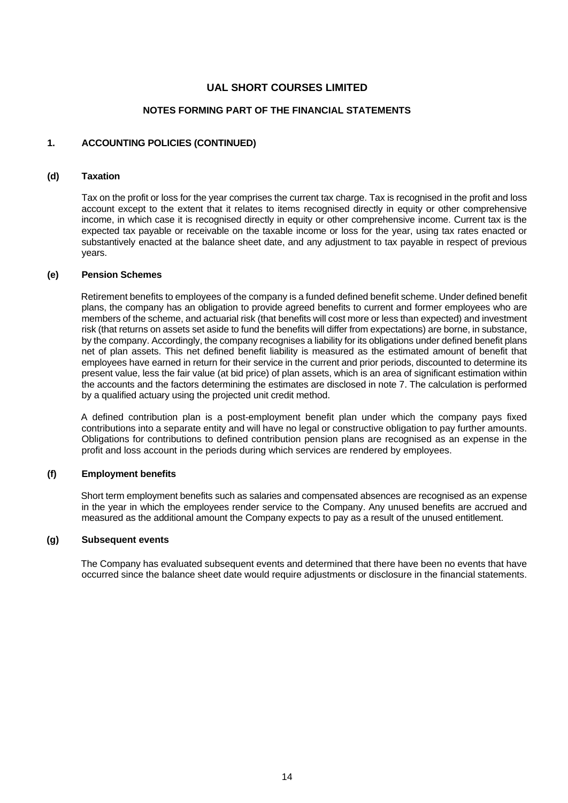### **NOTES FORMING PART OF THE FINANCIAL STATEMENTS**

#### **1. ACCOUNTING POLICIES (CONTINUED)**

#### **(d) Taxation**

Tax on the profit or loss for the year comprises the current tax charge. Tax is recognised in the profit and loss account except to the extent that it relates to items recognised directly in equity or other comprehensive income, in which case it is recognised directly in equity or other comprehensive income. Current tax is the expected tax payable or receivable on the taxable income or loss for the year, using tax rates enacted or substantively enacted at the balance sheet date, and any adjustment to tax payable in respect of previous years.

#### **(e) Pension Schemes**

Retirement benefits to employees of the company is a funded defined benefit scheme. Under defined benefit plans, the company has an obligation to provide agreed benefits to current and former employees who are members of the scheme, and actuarial risk (that benefits will cost more or less than expected) and investment risk (that returns on assets set aside to fund the benefits will differ from expectations) are borne, in substance, by the company. Accordingly, the company recognises a liability for its obligations under defined benefit plans net of plan assets. This net defined benefit liability is measured as the estimated amount of benefit that employees have earned in return for their service in the current and prior periods, discounted to determine its present value, less the fair value (at bid price) of plan assets, which is an area of significant estimation within the accounts and the factors determining the estimates are disclosed in note 7. The calculation is performed by a qualified actuary using the projected unit credit method.

A defined contribution plan is a post-employment benefit plan under which the company pays fixed contributions into a separate entity and will have no legal or constructive obligation to pay further amounts. Obligations for contributions to defined contribution pension plans are recognised as an expense in the profit and loss account in the periods during which services are rendered by employees.

#### **(f) Employment benefits**

Short term employment benefits such as salaries and compensated absences are recognised as an expense in the year in which the employees render service to the Company. Any unused benefits are accrued and measured as the additional amount the Company expects to pay as a result of the unused entitlement.

#### **(g) Subsequent events**

The Company has evaluated subsequent events and determined that there have been no events that have occurred since the balance sheet date would require adjustments or disclosure in the financial statements.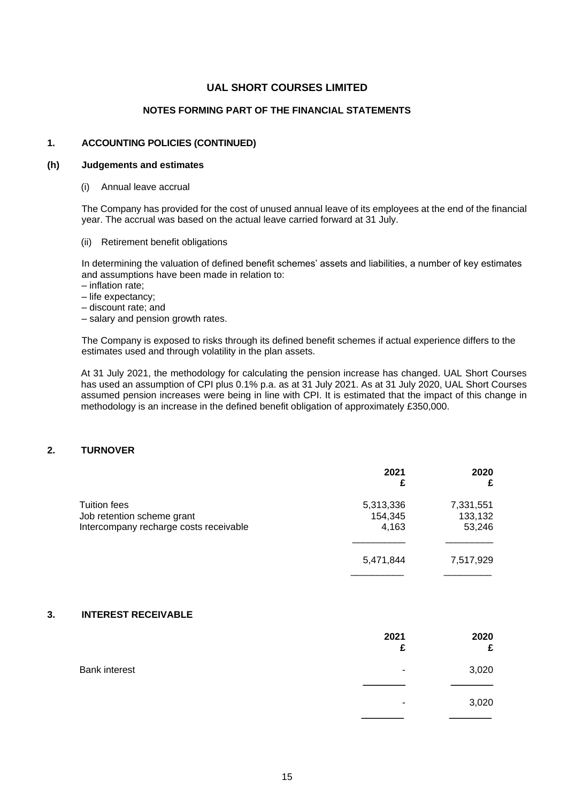### **NOTES FORMING PART OF THE FINANCIAL STATEMENTS**

### **1. ACCOUNTING POLICIES (CONTINUED)**

#### **(h) Judgements and estimates**

#### (i) Annual leave accrual

The Company has provided for the cost of unused annual leave of its employees at the end of the financial year. The accrual was based on the actual leave carried forward at 31 July.

(ii) Retirement benefit obligations

In determining the valuation of defined benefit schemes' assets and liabilities, a number of key estimates and assumptions have been made in relation to:

- inflation rate;
- life expectancy;
- discount rate; and
- salary and pension growth rates.

The Company is exposed to risks through its defined benefit schemes if actual experience differs to the estimates used and through volatility in the plan assets.

At 31 July 2021, the methodology for calculating the pension increase has changed. UAL Short Courses has used an assumption of CPI plus 0.1% p.a. as at 31 July 2021. As at 31 July 2020, UAL Short Courses assumed pension increases were being in line with CPI. It is estimated that the impact of this change in methodology is an increase in the defined benefit obligation of approximately £350,000.

#### **2. TURNOVER**

|                                        | 2021      | 2020      |
|----------------------------------------|-----------|-----------|
|                                        | £         | £         |
| <b>Tuition fees</b>                    | 5,313,336 | 7,331,551 |
| Job retention scheme grant             | 154,345   | 133,132   |
| Intercompany recharge costs receivable | 4,163     | 53,246    |
|                                        |           |           |
|                                        | 5,471,844 | 7,517,929 |
|                                        |           |           |

#### **3. INTEREST RECEIVABLE**

|                      | 2021<br>£ | 2020<br>£ |
|----------------------|-----------|-----------|
| <b>Bank interest</b> | ۰         | 3,020     |
|                      | ۰         | 3,020     |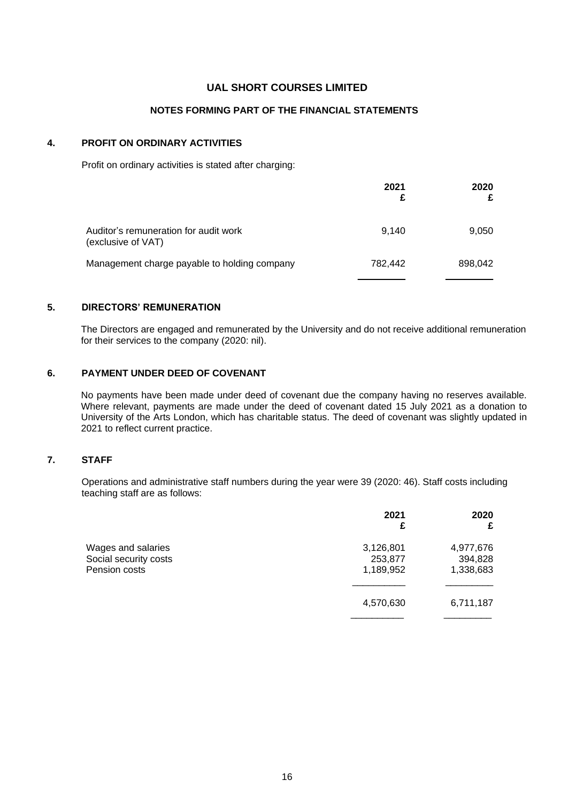#### **NOTES FORMING PART OF THE FINANCIAL STATEMENTS**

### **4. PROFIT ON ORDINARY ACTIVITIES**

Profit on ordinary activities is stated after charging:

|                                                             | 2021    | 2020    |
|-------------------------------------------------------------|---------|---------|
| Auditor's remuneration for audit work<br>(exclusive of VAT) | 9,140   | 9,050   |
| Management charge payable to holding company                | 782.442 | 898,042 |

### **5. DIRECTORS' REMUNERATION**

The Directors are engaged and remunerated by the University and do not receive additional remuneration for their services to the company (2020: nil).

### **6. PAYMENT UNDER DEED OF COVENANT**

No payments have been made under deed of covenant due the company having no reserves available. Where relevant, payments are made under the deed of covenant dated 15 July 2021 as a donation to University of the Arts London, which has charitable status. The deed of covenant was slightly updated in 2021 to reflect current practice.

#### **7. STAFF**

Operations and administrative staff numbers during the year were 39 (2020: 46). Staff costs including teaching staff are as follows:

|                       | 2021      | 2020      |
|-----------------------|-----------|-----------|
|                       | £         | £         |
| Wages and salaries    | 3,126,801 | 4,977,676 |
| Social security costs | 253,877   | 394,828   |
| Pension costs         | 1,189,952 | 1,338,683 |
|                       |           |           |
|                       | 4,570,630 | 6,711,187 |
|                       |           |           |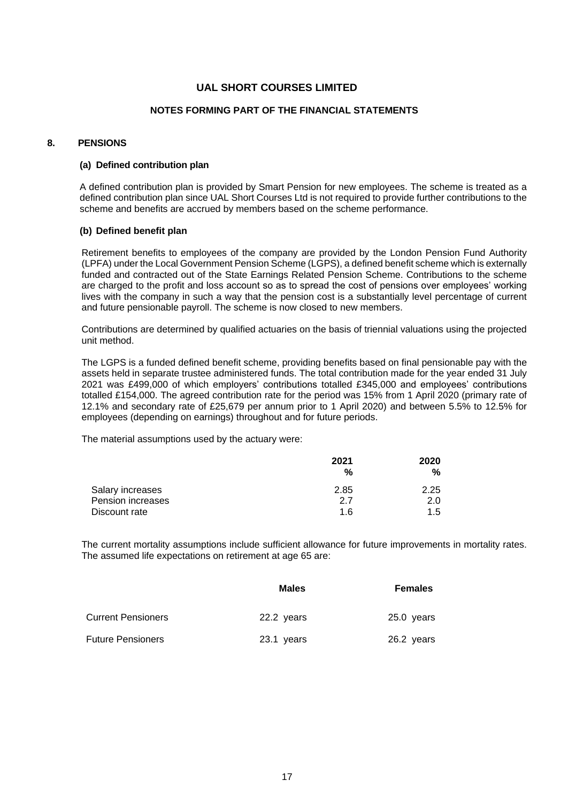#### **NOTES FORMING PART OF THE FINANCIAL STATEMENTS**

#### **8. PENSIONS**

#### **(a) Defined contribution plan**

A defined contribution plan is provided by Smart Pension for new employees. The scheme is treated as a defined contribution plan since UAL Short Courses Ltd is not required to provide further contributions to the scheme and benefits are accrued by members based on the scheme performance.

#### **(b) Defined benefit plan**

Retirement benefits to employees of the company are provided by the London Pension Fund Authority (LPFA) under the Local Government Pension Scheme (LGPS), a defined benefit scheme which is externally funded and contracted out of the State Earnings Related Pension Scheme. Contributions to the scheme are charged to the profit and loss account so as to spread the cost of pensions over employees' working lives with the company in such a way that the pension cost is a substantially level percentage of current and future pensionable payroll. The scheme is now closed to new members.

Contributions are determined by qualified actuaries on the basis of triennial valuations using the projected unit method.

The LGPS is a funded defined benefit scheme, providing benefits based on final pensionable pay with the assets held in separate trustee administered funds. The total contribution made for the year ended 31 July 2021 was £499,000 of which employers' contributions totalled £345,000 and employees' contributions totalled £154,000. The agreed contribution rate for the period was 15% from 1 April 2020 (primary rate of 12.1% and secondary rate of £25,679 per annum prior to 1 April 2020) and between 5.5% to 12.5% for employees (depending on earnings) throughout and for future periods.

The material assumptions used by the actuary were:

|                   | 2021 | 2020<br>% |
|-------------------|------|-----------|
|                   | %    |           |
| Salary increases  | 2.85 | 2.25      |
| Pension increases | 27   | 2.0       |
| Discount rate     | 1 6  | 1.5       |

The current mortality assumptions include sufficient allowance for future improvements in mortality rates. The assumed life expectations on retirement at age 65 are:

|                           | <b>Males</b> | <b>Females</b> |
|---------------------------|--------------|----------------|
| <b>Current Pensioners</b> | 22.2 years   | 25.0 years     |
| <b>Future Pensioners</b>  | 23.1 years   | 26.2 years     |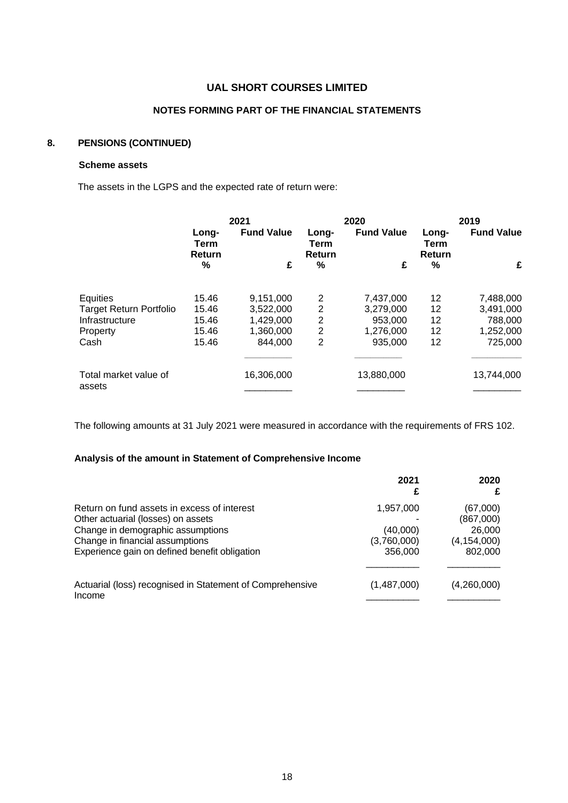### **NOTES FORMING PART OF THE FINANCIAL STATEMENTS**

### **8. PENSIONS (CONTINUED)**

### **Scheme assets**

The assets in the LGPS and the expected rate of return were:

|                                |                         | 2021              |                                | 2020              |                                | 2019              |
|--------------------------------|-------------------------|-------------------|--------------------------------|-------------------|--------------------------------|-------------------|
|                                | Long-<br>Term<br>Return | <b>Fund Value</b> | Long-<br><b>Term</b><br>Return | <b>Fund Value</b> | Long-<br>Term<br><b>Return</b> | <b>Fund Value</b> |
|                                | %                       | £                 | ℅                              | £                 | $\%$                           | £                 |
| <b>Equities</b>                | 15.46                   | 9,151,000         | 2                              | 7,437,000         | 12                             | 7,488,000         |
| <b>Target Return Portfolio</b> | 15.46                   | 3,522,000         | 2                              | 3,279,000         | 12                             | 3,491,000         |
| Infrastructure                 | 15.46                   | 1,429,000         | 2                              | 953,000           | 12                             | 788,000           |
| Property                       | 15.46                   | 1,360,000         | $\overline{2}$                 | 1,276,000         | 12                             | 1,252,000         |
| Cash                           | 15.46                   | 844,000           | 2                              | 935,000           | 12                             | 725,000           |
| Total market value of          |                         | 16,306,000        |                                | 13,880,000        |                                | 13,744,000        |
| assets                         |                         |                   |                                |                   |                                |                   |

The following amounts at 31 July 2021 were measured in accordance with the requirements of FRS 102.

### **Analysis of the amount in Statement of Comprehensive Income**

|                                                                                   | 2021                    | 2020                    |
|-----------------------------------------------------------------------------------|-------------------------|-------------------------|
| Return on fund assets in excess of interest<br>Other actuarial (losses) on assets | 1,957,000               | (67,000)<br>(867,000)   |
| Change in demographic assumptions<br>Change in financial assumptions              | (40,000)<br>(3,760,000) | 26,000<br>(4, 154, 000) |
| Experience gain on defined benefit obligation                                     | 356,000                 | 802,000                 |
| Actuarial (loss) recognised in Statement of Comprehensive<br>Income               | (1,487,000)             | (4,260,000)             |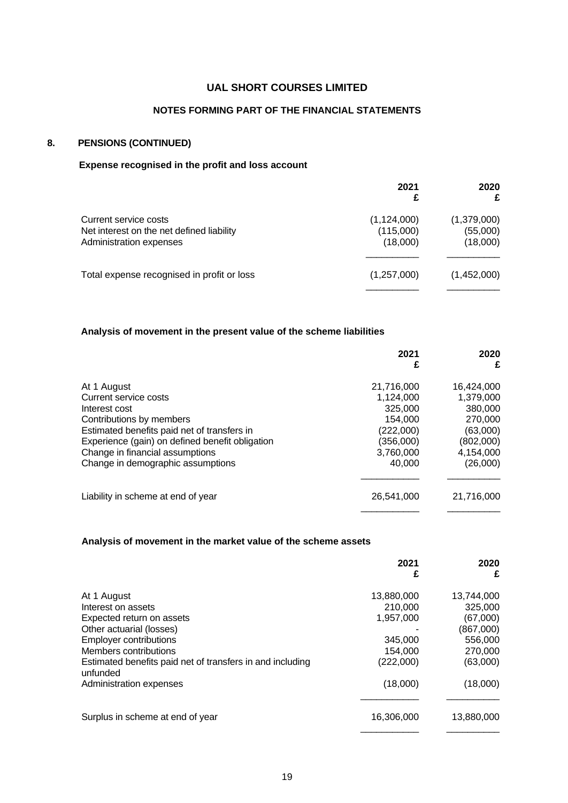### **NOTES FORMING PART OF THE FINANCIAL STATEMENTS**

# **8. PENSIONS (CONTINUED)**

### **Expense recognised in the profit and loss account**

|                                                                                               | 2021                                   | 2020<br>£                           |
|-----------------------------------------------------------------------------------------------|----------------------------------------|-------------------------------------|
| Current service costs<br>Net interest on the net defined liability<br>Administration expenses | (1, 124, 000)<br>(115,000)<br>(18,000) | (1,379,000)<br>(55,000)<br>(18,000) |
| Total expense recognised in profit or loss                                                    | (1,257,000)                            | (1,452,000)                         |

### **Analysis of movement in the present value of the scheme liabilities**

|                                                 | 2021<br>£  | 2020<br>£  |
|-------------------------------------------------|------------|------------|
| At 1 August                                     | 21,716,000 | 16,424,000 |
| Current service costs                           | 1,124,000  | 1,379,000  |
| Interest cost                                   | 325,000    | 380,000    |
| Contributions by members                        | 154.000    | 270,000    |
| Estimated benefits paid net of transfers in     | (222,000)  | (63,000)   |
| Experience (gain) on defined benefit obligation | (356,000)  | (802,000)  |
| Change in financial assumptions                 | 3,760,000  | 4,154,000  |
| Change in demographic assumptions               | 40,000     | (26,000)   |
| Liability in scheme at end of year              | 26,541,000 | 21,716,000 |

### **Analysis of movement in the market value of the scheme assets**

|                                                                       | 2021<br>£  | 2020<br>£  |
|-----------------------------------------------------------------------|------------|------------|
| At 1 August                                                           | 13,880,000 | 13,744,000 |
| Interest on assets                                                    | 210,000    | 325,000    |
| Expected return on assets                                             | 1,957,000  | (67,000)   |
| Other actuarial (losses)                                              |            | (867,000)  |
| <b>Employer contributions</b>                                         | 345,000    | 556,000    |
| Members contributions                                                 | 154.000    | 270,000    |
| Estimated benefits paid net of transfers in and including<br>unfunded | (222,000)  | (63,000)   |
| Administration expenses                                               | (18,000)   | (18,000)   |
| Surplus in scheme at end of year                                      | 16,306,000 | 13,880,000 |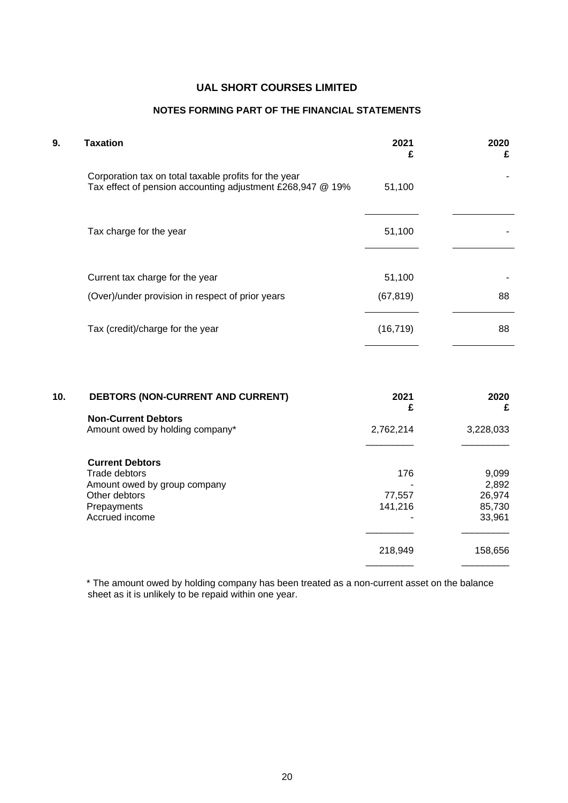## **NOTES FORMING PART OF THE FINANCIAL STATEMENTS**

| 9.  | <b>Taxation</b>                                                                                                     | 2021<br>£ | 2020<br>£      |
|-----|---------------------------------------------------------------------------------------------------------------------|-----------|----------------|
|     | Corporation tax on total taxable profits for the year<br>Tax effect of pension accounting adjustment £268,947 @ 19% | 51,100    |                |
|     | Tax charge for the year                                                                                             | 51,100    |                |
|     | Current tax charge for the year                                                                                     | 51,100    |                |
|     | (Over)/under provision in respect of prior years                                                                    | (67, 819) | 88             |
|     | Tax (credit)/charge for the year                                                                                    | (16, 719) | 88             |
| 10. | <b>DEBTORS (NON-CURRENT AND CURRENT)</b>                                                                            | 2021      | 2020           |
|     | <b>Non-Current Debtors</b>                                                                                          | £         | £              |
|     | Amount owed by holding company*                                                                                     | 2,762,214 | 3,228,033      |
|     | <b>Current Debtors</b>                                                                                              |           |                |
|     | <b>Trade debtors</b>                                                                                                | 176       | 9,099<br>2,892 |
|     | Amount owed by group company<br>Other debtors                                                                       | 77,557    | 26,974         |
|     | Prepayments                                                                                                         | 141,216   | 85,730         |
|     | Accrued income                                                                                                      |           | 33,961         |
|     |                                                                                                                     | 218,949   | 158,656        |

 \* The amount owed by holding company has been treated as a non-current asset on the balance sheet as it is unlikely to be repaid within one year.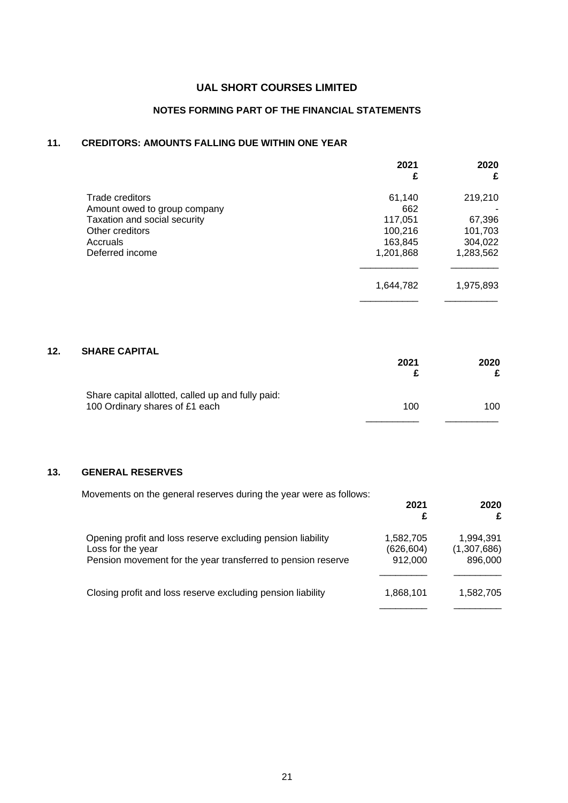### **NOTES FORMING PART OF THE FINANCIAL STATEMENTS**

### **11. CREDITORS: AMOUNTS FALLING DUE WITHIN ONE YEAR**

|     |                              | 2021<br>£ | 2020<br>£ |
|-----|------------------------------|-----------|-----------|
|     | Trade creditors              | 61,140    | 219,210   |
|     | Amount owed to group company | 662       |           |
|     | Taxation and social security | 117,051   | 67,396    |
|     | Other creditors              | 100,216   | 101,703   |
|     | Accruals                     | 163,845   | 304,022   |
|     | Deferred income              | 1,201,868 | 1,283,562 |
|     |                              | 1,644,782 | 1,975,893 |
|     |                              |           |           |
| 12. | <b>SHARE CAPITAL</b>         |           |           |

| 2021 | 2020 |
|------|------|
| 100  | 100  |
|      |      |

### **13. GENERAL RESERVES**

Movements on the general reserves during the year were as follows:

|                                                                                  | 2021                    | 2020<br>£                |
|----------------------------------------------------------------------------------|-------------------------|--------------------------|
| Opening profit and loss reserve excluding pension liability<br>Loss for the year | 1,582,705<br>(626, 604) | 1,994,391<br>(1,307,686) |
| Pension movement for the year transferred to pension reserve                     | 912,000                 | 896,000                  |
| Closing profit and loss reserve excluding pension liability                      | 1,868,101               | 1,582,705                |
|                                                                                  |                         |                          |